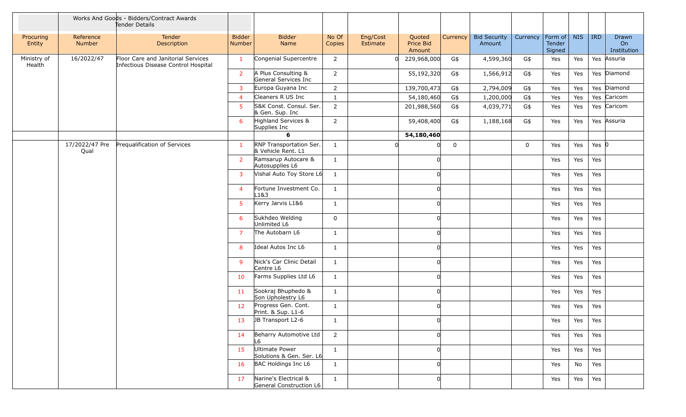|                       |                        | Works And Goods - Bidders/Contract Awards<br>Tender Details               |                         |                                                  |                 |                      |                                      |             |                               |             |                                     |            |            |                                   |
|-----------------------|------------------------|---------------------------------------------------------------------------|-------------------------|--------------------------------------------------|-----------------|----------------------|--------------------------------------|-------------|-------------------------------|-------------|-------------------------------------|------------|------------|-----------------------------------|
| Procuring<br>Entity   | Reference<br>Number    | Tender<br>Description                                                     | <b>Bidder</b><br>Number | <b>Bidder</b><br>Name                            | No Of<br>Copies | Eng/Cost<br>Estimate | Quoted<br><b>Price Bid</b><br>Amount | Currency    | <b>Bid Security</b><br>Amount | Currency    | $ $ Form of $ $<br>Tender<br>Signed | <b>NIS</b> | <b>IRD</b> | <b>Drawn</b><br>On<br>Institution |
| Ministry of<br>Health | 16/2022/47             | Floor Care and Janitorial Services<br>Infectious Disease Control Hospital | $\mathbf{1}$            | Congenial Supercentre                            | $\overline{2}$  |                      | 229,968,000                          | G\$         | 4,599,360                     | G\$         | Yes                                 | Yes        | Yes        | Assuria                           |
|                       |                        |                                                                           | $\overline{2}$          | A Plus Consulting &<br>General Services Inc      | $\overline{2}$  |                      | 55,192,320                           | G\$         | 1,566,912                     | G\$         | Yes                                 | Yes        |            | Yes Diamond                       |
|                       |                        |                                                                           | $\overline{3}$          | Europa Guyana Inc                                | $\overline{2}$  |                      | 139,700,473                          | G\$         | 2,794,009                     | G\$         | Yes                                 | Yes        |            | Yes Diamond                       |
|                       |                        |                                                                           | $\overline{4}$          | Cleaners R US Inc                                | $\mathbf{1}$    |                      | 54,180,460                           | G\$         | 1,200,000                     | G\$         | Yes                                 | Yes        |            | Yes Caricom                       |
|                       |                        |                                                                           | 5                       | S&K Const. Consul. Ser.<br>& Gen. Sup. Inc       | $\overline{2}$  |                      | 201,988,560                          | G\$         | 4,039,771                     | G\$         | Yes                                 | Yes        |            | Yes Caricom                       |
|                       |                        |                                                                           | 6                       | Highland Services &<br>Supplies Inc              | $\overline{2}$  |                      | 59,408,400                           | G\$         | 1,188,168                     | G\$         | Yes                                 | Yes        |            | Yes Assuria                       |
|                       |                        |                                                                           |                         | 6                                                |                 |                      | 54,180,460                           |             |                               |             |                                     |            |            |                                   |
|                       | 17/2022/47 Pre<br>Qual | Prequalification of Services                                              | -1                      | RNP Transportation Ser.<br>& Vehicle Rent. L1    | $\mathbf{1}$    |                      |                                      | $\mathsf 0$ |                               | $\mathbf 0$ | Yes                                 | Yes        | Yes $ 0 $  |                                   |
|                       |                        |                                                                           | 2                       | Ramsarup Autocare &<br>Autosupplies L6           | $\mathbf{1}$    |                      |                                      |             |                               |             | Yes                                 | Yes        | Yes        |                                   |
|                       |                        |                                                                           | 3                       | Vishal Auto Toy Store L6                         | $\mathbf{1}$    |                      |                                      |             |                               |             | Yes                                 | Yes        | Yes        |                                   |
|                       |                        |                                                                           | $\overline{4}$          | Fortune Investment Co.<br>L1&3                   | $\mathbf{1}$    |                      |                                      |             |                               |             | Yes                                 | Yes        | Yes        |                                   |
|                       |                        |                                                                           | 5 <sup>1</sup>          | Kerry Jarvis L1&6                                | $\mathbf{1}$    |                      |                                      |             |                               |             | Yes                                 | Yes        | Yes        |                                   |
|                       |                        |                                                                           | 6                       | Sukhdeo Welding<br>Unlimited L6                  | 0               |                      |                                      |             |                               |             | Yes                                 | Yes        | Yes        |                                   |
|                       |                        |                                                                           | $\overline{7}$          | The Autobarn L6                                  | $\mathbf{1}$    |                      |                                      |             |                               |             | Yes                                 | Yes        | Yes        |                                   |
|                       |                        |                                                                           | 8                       | Ideal Autos Inc L6                               | $\mathbf{1}$    |                      |                                      |             |                               |             | Yes                                 | Yes        | Yes        |                                   |
|                       |                        |                                                                           | 9                       | Nick's Car Clinic Detail<br>Centre L6            | $\mathbf{1}$    |                      |                                      |             |                               |             | Yes                                 | Yes        | Yes        |                                   |
|                       |                        |                                                                           | 10                      | Farms Supplies Ltd L6                            | $\mathbf{1}$    |                      |                                      |             |                               |             | Yes                                 | Yes        | Yes        |                                   |
|                       |                        |                                                                           | 11                      | Sookraj Bhuphedo &<br>Son Upholestry L6          | $\mathbf{1}$    |                      |                                      |             |                               |             | Yes                                 | Yes        | Yes        |                                   |
|                       |                        |                                                                           | 12                      | Progress Gen. Cont.<br>Print. & Sup. L1-6        | 1               |                      |                                      |             |                               |             | Yes                                 | Yes        | Yes        |                                   |
|                       |                        |                                                                           | 13                      | JB Transport L2-6                                | 1               |                      |                                      |             |                               |             | Yes                                 | Yes        | Yes        |                                   |
|                       |                        |                                                                           | 14                      | Beharry Automotive Ltd<br>L6                     | $\overline{2}$  |                      |                                      |             |                               |             | Yes                                 | Yes        | Yes        |                                   |
|                       |                        |                                                                           | 15                      | Ultimate Power<br>Solutions & Gen. Ser. L6       | $\mathbf{1}$    |                      |                                      |             |                               |             | Yes                                 | Yes        | Yes        |                                   |
|                       |                        |                                                                           | 16                      | BAC Holdings Inc L6                              | $\mathbf{1}$    |                      |                                      |             |                               |             | Yes                                 | No         | Yes        |                                   |
|                       |                        |                                                                           | 17                      | Narine's Electrical &<br>General Construction L6 | $\mathbf{1}$    |                      |                                      |             |                               |             | Yes                                 | Yes        | Yes        |                                   |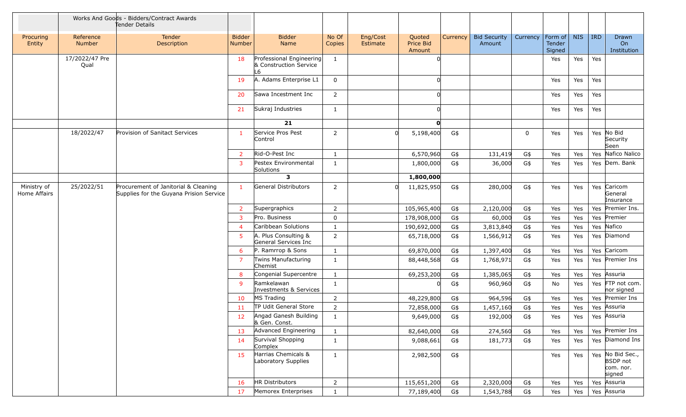|                             | Works And Goods - Bidders/Contract Awards<br>Tender Details |                                                                                 |                                |                                                          |                 |                      |                               |          |                               |             |                                 |     |            |                                                            |
|-----------------------------|-------------------------------------------------------------|---------------------------------------------------------------------------------|--------------------------------|----------------------------------------------------------|-----------------|----------------------|-------------------------------|----------|-------------------------------|-------------|---------------------------------|-----|------------|------------------------------------------------------------|
| Procuring<br>Entity         | Reference<br>Number                                         | Tender<br>Description                                                           | <b>Bidder</b><br><b>Number</b> | <b>Bidder</b><br>Name                                    | No Of<br>Copies | Eng/Cost<br>Estimate | Quoted<br>Price Bid<br>Amount | Currency | <b>Bid Security</b><br>Amount | Currency    | Form of NIS<br>Tender<br>Signed |     | <b>IRD</b> | Drawn<br><b>On</b><br>Institution                          |
|                             | 17/2022/47 Pre<br>Qual                                      |                                                                                 | 18                             | Professional Engineering<br>& Construction Service<br>L6 | $\mathbf{1}$    |                      |                               |          |                               |             | Yes                             | Yes | Yes        |                                                            |
|                             |                                                             |                                                                                 | 19                             | A. Adams Enterprise L1                                   | 0               |                      |                               |          |                               |             | Yes                             | Yes | Yes        |                                                            |
|                             |                                                             |                                                                                 | 20                             | Sawa Incestment Inc                                      | $\overline{2}$  |                      |                               |          |                               |             | Yes                             | Yes | Yes        |                                                            |
|                             |                                                             |                                                                                 | 21                             | Sukraj Industries                                        | $\mathbf{1}$    |                      |                               |          |                               |             | Yes                             | Yes | Yes        |                                                            |
|                             |                                                             |                                                                                 |                                | 21                                                       |                 |                      | O                             |          |                               |             |                                 |     |            |                                                            |
|                             | 18/2022/47                                                  | Provision of Sanitact Services                                                  | $\overline{1}$                 | Service Pros Pest<br>Control                             | 2               | n                    | 5,198,400                     | G\$      |                               | $\mathbf 0$ | Yes                             | Yes |            | Yes No Bid<br>Security<br>Seen                             |
|                             |                                                             |                                                                                 | $\overline{2}$                 | Rid-O-Pest Inc                                           | 1               |                      | 6,570,960                     | G\$      | 131,419                       | G\$         | Yes                             | Yes |            | Yes Nafico Nalico                                          |
|                             |                                                             |                                                                                 | 3                              | Pestex Environmental<br>Solutions                        | $\mathbf{1}$    |                      | 1,800,000                     | G\$      | 36,000                        | G\$         | Yes                             | Yes |            | Yes Dem. Bank                                              |
|                             |                                                             |                                                                                 |                                | 3                                                        |                 |                      | 1,800,000                     |          |                               |             |                                 |     |            |                                                            |
| Ministry of<br>Home Affairs | 25/2022/51                                                  | Procurement of Janitorial & Cleaning<br>Supplies for the Guyana Prision Service | -1                             | General Distributors                                     | $\overline{2}$  | U                    | 11,825,950                    | G\$      | 280,000                       | G\$         | Yes                             | Yes |            | Yes Caricom<br>General<br>Insurance                        |
|                             |                                                             |                                                                                 | 2                              | Supergraphics                                            | $\overline{2}$  |                      | 105,965,400                   | G\$      | 2,120,000                     | G\$         | Yes                             | Yes |            | Yes Premier Ins.                                           |
|                             |                                                             |                                                                                 | 3                              | Pro. Business                                            | 0               |                      | 178,908,000                   | G\$      | 60,000                        | G\$         | Yes                             | Yes |            | Yes Premier                                                |
|                             |                                                             |                                                                                 | $\overline{4}$                 | Caribbean Solutions                                      | $\mathbf{1}$    |                      | 190,692,000                   | G\$      | 3,813,840                     | G\$         | Yes                             | Yes |            | Yes Nafico                                                 |
|                             |                                                             |                                                                                 | 5                              | A. Plus Consulting &<br>General Services Inc             | $\overline{2}$  |                      | 65,718,000                    | G\$      | 1,566,912                     | G\$         | Yes                             | Yes |            | Yes Diamond                                                |
|                             |                                                             |                                                                                 | 6                              | P. Ramrrop & Sons                                        | $\mathbf{1}$    |                      | 69,870,000                    | G\$      | 1,397,400                     | G\$         | Yes                             | Yes |            | Yes Caricom                                                |
|                             |                                                             |                                                                                 | $\overline{7}$                 | Twins Manufacturing<br>Chemist                           | $\mathbf{1}$    |                      | 88,448,568                    | G\$      | 1,768,971                     | G\$         | Yes                             | Yes |            | Yes Premier Ins                                            |
|                             |                                                             |                                                                                 | 8                              | Congenial Supercentre                                    | $\mathbf{1}$    |                      | 69,253,200                    | G\$      | 1,385,065                     | G\$         | Yes                             | Yes |            | Yes Assuria                                                |
|                             |                                                             |                                                                                 | 9                              | Ramkelawan<br>Investments & Services                     | $\mathbf{1}$    |                      |                               | G\$      | 960,960                       | G\$         | No                              | Yes |            | Yes FTP not com.<br>nor signed                             |
|                             |                                                             |                                                                                 | 10                             | MS Trading                                               | $\overline{2}$  |                      | 48,229,800                    | G\$      | 964,596                       | G\$         | Yes                             | Yes |            | Yes Premier Ins                                            |
|                             |                                                             |                                                                                 | 11                             | TP Udit General Store                                    | $\overline{2}$  |                      | 72,858,000                    | G\$      | 1,457,160                     | G\$         | Yes                             | Yes |            | Yes Assuria                                                |
|                             |                                                             |                                                                                 | 12                             | Angad Ganesh Building<br>& Gen. Const.                   | $\mathbf{1}$    |                      | 9,649,000                     | G\$      | 192,000                       | G\$         | Yes                             | Yes |            | Yes Assuria                                                |
|                             |                                                             |                                                                                 | 13                             | Advanced Engineering                                     | $\mathbf{1}$    |                      | 82,640,000                    | G\$      | 274,560                       | G\$         | Yes                             | Yes |            | Yes Premier Ins                                            |
|                             |                                                             |                                                                                 | 14                             | Survival Shopping<br>Complex                             | $\mathbf{1}$    |                      | 9,088,661                     | G\$      | 181,773                       | G\$         | Yes                             | Yes |            | Yes Diamond Ins                                            |
|                             |                                                             |                                                                                 | 15                             | Harrias Chemicals &<br>Laboratory Supplies               | $\mathbf{1}$    |                      | 2,982,500                     | G\$      |                               |             | Yes                             | Yes |            | Yes No Bid Sec.,<br><b>BSDP</b> not<br>com. nor.<br>signed |
|                             |                                                             |                                                                                 | 16                             | HR Distributors                                          | $\overline{2}$  |                      | 115,651,200                   | G\$      | 2,320,000                     | G\$         | Yes                             | Yes |            | Yes Assuria                                                |
|                             |                                                             |                                                                                 | 17                             | Memorex Enterprises                                      | $\mathbf{1}$    |                      | 77,189,400                    | G\$      | 1,543,788                     | G\$         | Yes                             | Yes |            | Yes Assuria                                                |